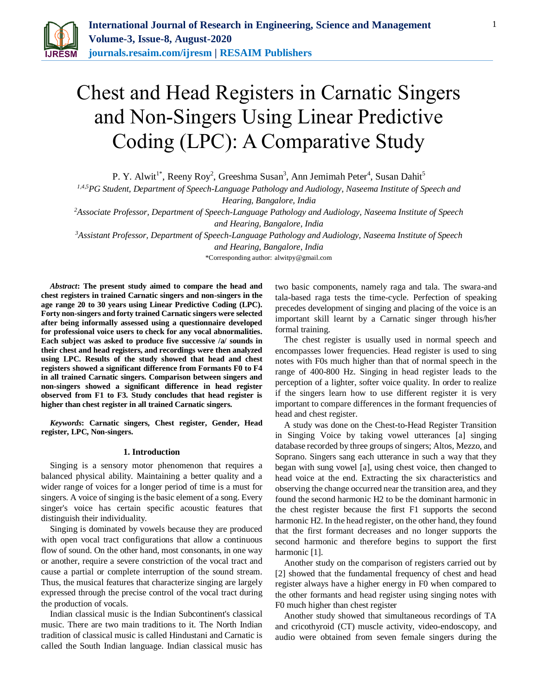

# Chest and Head Registers in Carnatic Singers and Non-Singers Using Linear Predictive Coding (LPC): A Comparative Study

P. Y. Alwit<sup>1\*</sup>, Reeny Roy<sup>2</sup>, Greeshma Susan<sup>3</sup>, Ann Jemimah Peter<sup>4</sup>, Susan Dahit<sup>5</sup>

*1,4,5PG Student, Department of Speech-Language Pathology and Audiology, Naseema Institute of Speech and*

*Hearing, Bangalore, India*

*<sup>2</sup>Associate Professor, Department of Speech-Language Pathology and Audiology, Naseema Institute of Speech* 

*and Hearing, Bangalore, India*

*<sup>3</sup>Assistant Professor, Department of Speech-Language Pathology and Audiology, Naseema Institute of Speech and Hearing, Bangalore, India*

\*Corresponding author: alwitpy@gmail.com

*Abstract***: The present study aimed to compare the head and chest registers in trained Carnatic singers and non-singers in the age range 20 to 30 years using Linear Predictive Coding (LPC). Forty non-singers and forty trained Carnatic singers were selected after being informally assessed using a questionnaire developed for professional voice users to check for any vocal abnormalities. Each subject was asked to produce five successive /a/ sounds in their chest and head registers, and recordings were then analyzed using LPC. Results of the study showed that head and chest registers showed a significant difference from Formants F0 to F4 in all trained Carnatic singers. Comparison between singers and non-singers showed a significant difference in head register observed from F1 to F3. Study concludes that head register is higher than chest register in all trained Carnatic singers.** 

*Keywords***: Carnatic singers, Chest register, Gender, Head register, LPC, Non-singers.**

## **1. Introduction**

Singing is a sensory motor phenomenon that requires a balanced physical ability. Maintaining a better quality and a wider range of voices for a longer period of time is a must for singers. A voice of singing is the basic element of a song. Every singer's voice has certain specific acoustic features that distinguish their individuality.

Singing is dominated by vowels because they are produced with open vocal tract configurations that allow a continuous flow of sound. On the other hand, most consonants, in one way or another, require a severe constriction of the vocal tract and cause a partial or complete interruption of the sound stream. Thus, the musical features that characterize singing are largely expressed through the precise control of the vocal tract during the production of vocals.

Indian classical music is the Indian Subcontinent's classical music. There are two main traditions to it. The North Indian tradition of classical music is called Hindustani and Carnatic is called the South Indian language. Indian classical music has

two basic components, namely raga and tala. The swara-and tala-based raga tests the time-cycle. Perfection of speaking precedes development of singing and placing of the voice is an important skill learnt by a Carnatic singer through his/her formal training.

The chest register is usually used in normal speech and encompasses lower frequencies. Head register is used to sing notes with F0s much higher than that of normal speech in the range of 400-800 Hz. Singing in head register leads to the perception of a lighter, softer voice quality. In order to realize if the singers learn how to use different register it is very important to compare differences in the formant frequencies of head and chest register.

A study was done on the Chest-to-Head Register Transition in Singing Voice by taking vowel utterances [a] singing database recorded by three groups of singers; Altos, Mezzo, and Soprano. Singers sang each utterance in such a way that they began with sung vowel [a], using chest voice, then changed to head voice at the end. Extracting the six characteristics and observing the change occurred near the transition area, and they found the second harmonic H2 to be the dominant harmonic in the chest register because the first F1 supports the second harmonic H2. In the head register, on the other hand, they found that the first formant decreases and no longer supports the second harmonic and therefore begins to support the first harmonic [1].

Another study on the comparison of registers carried out by [2] showed that the fundamental frequency of chest and head register always have a higher energy in F0 when compared to the other formants and head register using singing notes with F0 much higher than chest register

Another study showed that simultaneous recordings of TA and cricothyroid (CT) muscle activity, video-endoscopy, and audio were obtained from seven female singers during the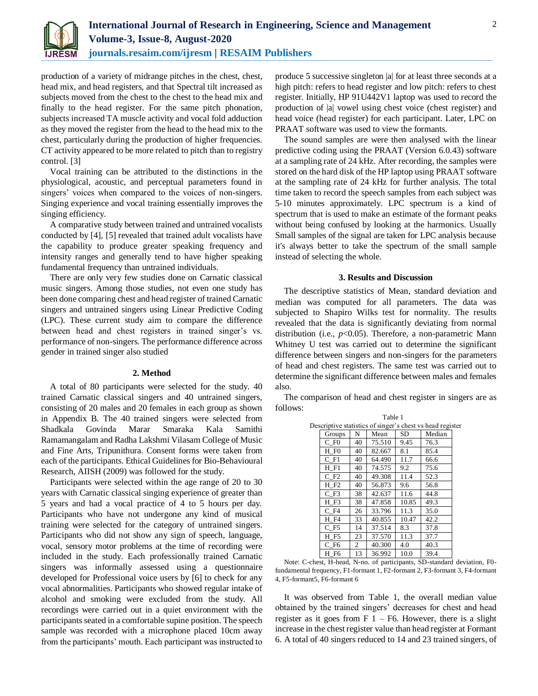

production of a variety of midrange pitches in the chest, chest, head mix, and head registers, and that Spectral tilt increased as subjects moved from the chest to the chest to the head mix and finally to the head register. For the same pitch phonation, subjects increased TA muscle activity and vocal fold adduction as they moved the register from the head to the head mix to the chest, particularly during the production of higher frequencies. CT activity appeared to be more related to pitch than to registry control. [3]

Vocal training can be attributed to the distinctions in the physiological, acoustic, and perceptual parameters found in singers' voices when compared to the voices of non-singers. Singing experience and vocal training essentially improves the singing efficiency.

A comparative study between trained and untrained vocalists conducted by [4], [5] revealed that trained adult vocalists have the capability to produce greater speaking frequency and intensity ranges and generally tend to have higher speaking fundamental frequency than untrained individuals.

There are only very few studies done on Carnatic classical music singers. Among those studies, not even one study has been done comparing chest and head register of trained Carnatic singers and untrained singers using Linear Predictive Coding (LPC). These current study aim to compare the difference between head and chest registers in trained singer's vs. performance of non-singers. The performance difference across gender in trained singer also studied

#### **2. Method**

A total of 80 participants were selected for the study. 40 trained Carnatic classical singers and 40 untrained singers, consisting of 20 males and 20 females in each group as shown in Appendix B. The 40 trained singers were selected from Shadkala Govinda Marar Smaraka Kala Samithi Ramamangalam and Radha Lakshmi Vilasam College of Music and Fine Arts, Tripunithura. Consent forms were taken from each of the participants. Ethical Guidelines for Bio-Behavioural Research, AIISH (2009) was followed for the study.

Participants were selected within the age range of 20 to 30 years with Carnatic classical singing experience of greater than 5 years and had a vocal practice of 4 to 5 hours per day. Participants who have not undergone any kind of musical training were selected for the category of untrained singers. Participants who did not show any sign of speech, language, vocal, sensory motor problems at the time of recording were included in the study. Each professionally trained Carnatic singers was informally assessed using a questionnaire developed for Professional voice users by [6] to check for any vocal abnormalities. Participants who showed regular intake of alcohol and smoking were excluded from the study. All recordings were carried out in a quiet environment with the participants seated in a comfortable supine position. The speech sample was recorded with a microphone placed 10cm away from the participants' mouth. Each participant was instructed to

produce 5 successive singleton |a| for at least three seconds at a high pitch: refers to head register and low pitch: refers to chest register. Initially, HP 91U442V1 laptop was used to record the production of |a| vowel using chest voice (chest register) and head voice (head register) for each participant. Later, LPC on PRAAT software was used to view the formants.

The sound samples are were then analysed with the linear predictive coding using the PRAAT (Version 6.0.43) software at a sampling rate of 24 kHz. After recording, the samples were stored on the hard disk of the HP laptop using PRAAT software at the sampling rate of 24 kHz for further analysis. The total time taken to record the speech samples from each subject was 5-10 minutes approximately. LPC spectrum is a kind of spectrum that is used to make an estimate of the formant peaks without being confused by looking at the harmonics. Usually Small samples of the signal are taken for LPC analysis because it's always better to take the spectrum of the small sample instead of selecting the whole.

## **3. Results and Discussion**

The descriptive statistics of Mean, standard deviation and median was computed for all parameters. The data was subjected to Shapiro Wilks test for normality. The results revealed that the data is significantly deviating from normal distribution (i.e., *p*<0.05). Therefore, a non-parametric Mann Whitney U test was carried out to determine the significant difference between singers and non-singers for the parameters of head and chest registers. The same test was carried out to determine the significant difference between males and females also.

The comparison of head and chest register in singers are as follows:

|                    |    | Table 1 |       |                                                           |  |
|--------------------|----|---------|-------|-----------------------------------------------------------|--|
|                    |    |         |       | Descriptive statistics of singer's chest vs head register |  |
| Groups             | N  | Mean    | SD    | Median                                                    |  |
| $C$ F <sub>0</sub> | 40 | 75.510  | 9.45  | 76.3                                                      |  |
| H F0               | 40 | 82.667  | 8.1   | 85.4                                                      |  |
| $C$ F1             | 40 | 64.490  | 11.7  | 66.6                                                      |  |
| H F1               | 40 | 74.575  | 9.2   | 75.6                                                      |  |
| $C$ F <sub>2</sub> | 40 | 49.308  | 11.4  | 52.3                                                      |  |
| H F2               | 40 | 56.873  | 9.6   | 56.8                                                      |  |
| $C$ F3             | 38 | 42.637  | 11.6  | 44.8                                                      |  |
| H F3               | 38 | 47.858  | 10.85 | 49.3                                                      |  |
| $C$ F4             | 26 | 33.796  | 11.3  | 35.0                                                      |  |
| H F4               | 33 | 40.855  | 10.47 | 42.2                                                      |  |
| $C$ F <sub>5</sub> | 14 | 37.514  | 8.3   | 37.8                                                      |  |
| H F5               | 23 | 37.570  | 11.3  | 37.7                                                      |  |
| C F6               | 2  | 40.300  | 4.0   | 40.3                                                      |  |
| H F6               | 13 | 36.992  | 10.0  | 39.4                                                      |  |

Note: C-chest, H-head, N-no. of participants, SD-standard deviation, F0 fundamental frequency, F1-formant 1, F2-formant 2, F3-formant 3, F4-formant 4, F5-formant5, F6-formant 6

It was observed from Table 1, the overall median value obtained by the trained singers' decreases for chest and head register as it goes from  $F$  1 – F6. However, there is a slight increase in the chest register value than head register at Formant 6. A total of 40 singers reduced to 14 and 23 trained singers, of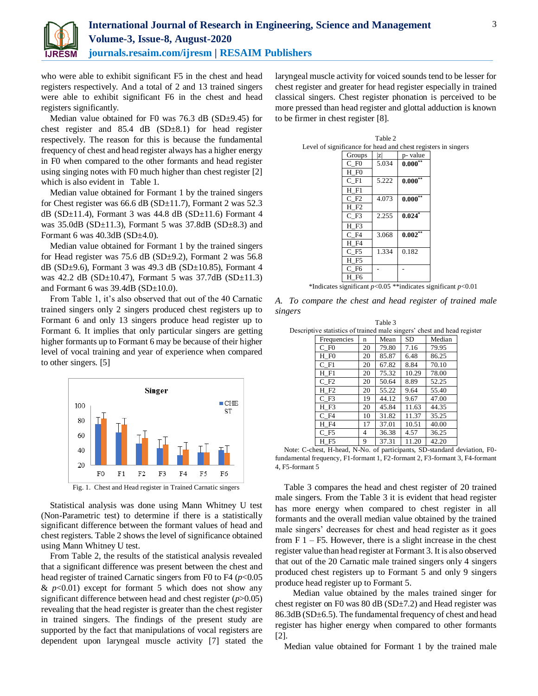

who were able to exhibit significant F5 in the chest and head registers respectively. And a total of 2 and 13 trained singers were able to exhibit significant F6 in the chest and head registers significantly.

Median value obtained for F0 was  $76.3$  dB (SD $\pm$ 9.45) for chest register and  $85.4$  dB (SD $\pm 8.1$ ) for head register respectively. The reason for this is because the fundamental frequency of chest and head register always has a higher energy in F0 when compared to the other formants and head register using singing notes with F0 much higher than chest register [2] which is also evident in Table 1.

Median value obtained for Formant 1 by the trained singers for Chest register was 66.6 dB (SD $\pm$ 11.7), Formant 2 was 52.3 dB (SD $\pm$ 11.4), Formant 3 was 44.8 dB (SD $\pm$ 11.6) Formant 4 was  $35.0$ dB (SD $\pm$ 11.3), Formant 5 was  $37.8$ dB (SD $\pm$ 8.3) and Formant 6 was 40.3dB (SD±4.0).

Median value obtained for Formant 1 by the trained singers for Head register was 75.6 dB (SD±9.2), Formant 2 was 56.8 dB (SD±9.6), Formant 3 was 49.3 dB (SD±10.85), Formant 4 was 42.2 dB (SD $\pm$ 10.47), Formant 5 was 37.7dB (SD $\pm$ 11.3) and Formant 6 was  $39.4dB$  (SD $\pm$ 10.0).

From Table 1, it's also observed that out of the 40 Carnatic trained singers only 2 singers produced chest registers up to Formant 6 and only 13 singers produce head register up to Formant 6. It implies that only particular singers are getting higher formants up to Formant 6 may be because of their higher level of vocal training and year of experience when compared to other singers. [5]



Statistical analysis was done using Mann Whitney U test (Non-Parametric test) to determine if there is a statistically significant difference between the formant values of head and chest registers. Table 2 shows the level of significance obtained using Mann Whitney U test.

From Table 2, the results of the statistical analysis revealed that a significant difference was present between the chest and head register of trained Carnatic singers from F0 to F4 ( $p$ <0.05)  $\& p<0.01$  except for formant 5 which does not show any significant difference between head and chest register (*p*>0.05) revealing that the head register is greater than the chest register in trained singers. The findings of the present study are supported by the fact that manipulations of vocal registers are dependent upon laryngeal muscle activity [7] stated the laryngeal muscle activity for voiced sounds tend to be lesser for chest register and greater for head register especially in trained classical singers. Chest register phonation is perceived to be more pressed than head register and glottal adduction is known to be firmer in chest register [8].

|                                                               |                    | Table 2 |              |  |
|---------------------------------------------------------------|--------------------|---------|--------------|--|
| Level of significance for head and chest registers in singers |                    |         |              |  |
|                                                               | Groups             | ΙzΙ     | p- value     |  |
|                                                               | C F0               | 5.034   | $0.000**$    |  |
|                                                               | H F0               |         |              |  |
|                                                               | $C$ F1             | 5.222   | $0.000***$   |  |
|                                                               | $H$ F1             |         |              |  |
|                                                               | $C$ F <sub>2</sub> | 4.073   | $0.000^{*+}$ |  |
|                                                               | H F2               |         |              |  |
|                                                               | $C$ F <sub>3</sub> | 2.255   | $0.024*$     |  |
|                                                               | H F3               |         |              |  |
|                                                               | $C$ F4             | 3.068   | $0.002**$    |  |
|                                                               | H F4               |         |              |  |
|                                                               | C F5               | 1.334   | 0.182        |  |
|                                                               | H F5               |         |              |  |
|                                                               | C F6               |         |              |  |
|                                                               | H F6               |         |              |  |

\*Indicates significant *p*<0.05 \*\*indicates significant *p*<0.01

*A. To compare the chest and head register of trained male singers*

|                                                                         |    | Table 3 |       |        |  |
|-------------------------------------------------------------------------|----|---------|-------|--------|--|
| Descriptive statistics of trained male singers' chest and head register |    |         |       |        |  |
| Frequencies                                                             | n  | Mean    | SD    | Median |  |
| $C$ F <sub>0</sub>                                                      | 20 | 79.80   | 7.16  | 79.95  |  |
| H F0                                                                    | 20 | 85.87   | 6.48  | 86.25  |  |
| $C$ F <sub>1</sub>                                                      | 20 | 67.82   | 8.84  | 70.10  |  |
| $H$ F1                                                                  | 20 | 75.32   | 10.29 | 78.00  |  |
| $C$ F <sub>2</sub>                                                      | 20 | 50.64   | 8.89  | 52.25  |  |
| H F2                                                                    | 20 | 55.22   | 9.64  | 55.40  |  |
| $C$ F <sub>3</sub>                                                      | 19 | 44.12   | 9.67  | 47.00  |  |
| H F3                                                                    | 20 | 45.84   | 11.63 | 44.35  |  |
| $C$ F4                                                                  | 10 | 31.82   | 11.37 | 35.25  |  |
| H F4                                                                    | 17 | 37.01   | 10.51 | 40.00  |  |
| C F5                                                                    | 4  | 36.38   | 4.57  | 36.25  |  |
| H F5                                                                    | 9  | 37.31   | 11.20 | 42.20  |  |

Note: C-chest, H-head, N-No. of participants, SD-standard deviation, F0 fundamental frequency, F1-formant 1, F2-formant 2, F3-formant 3, F4-formant 4, F5-formant 5

Table 3 compares the head and chest register of 20 trained male singers. From the Table 3 it is evident that head register has more energy when compared to chest register in all formants and the overall median value obtained by the trained male singers' decreases for chest and head register as it goes from  $F$  1 – F5. However, there is a slight increase in the chest register value than head register at Formant 3. It is also observed that out of the 20 Carnatic male trained singers only 4 singers produced chest registers up to Formant 5 and only 9 singers produce head register up to Formant 5.

Median value obtained by the males trained singer for chest register on F0 was 80 dB (SD±7.2) and Head register was 86.3dB (SD±6.5). The fundamental frequency of chest and head register has higher energy when compared to other formants [2].

Median value obtained for Formant 1 by the trained male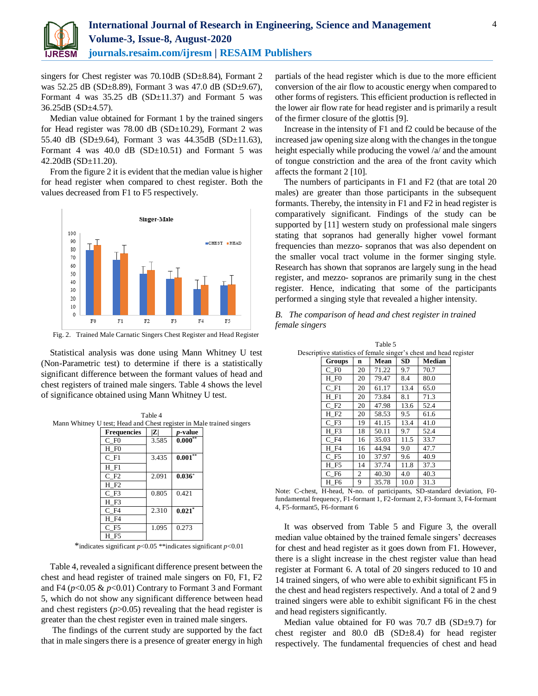

singers for Chest register was 70.10dB (SD±8.84), Formant 2 was 52.25 dB (SD±8.89), Formant 3 was 47.0 dB (SD±9.67), Formant 4 was  $35.25$  dB (SD $\pm$ 11.37) and Formant 5 was 36.25dB (SD±4.57).

Median value obtained for Formant 1 by the trained singers for Head register was 78.00 dB (SD±10.29), Formant 2 was 55.40 dB (SD±9.64), Formant 3 was 44.35dB (SD±11.63), Formant 4 was 40.0 dB  $(SD \pm 10.51)$  and Formant 5 was 42.20dB (SD±11.20).

From the figure 2 it is evident that the median value is higher for head register when compared to chest register. Both the values decreased from F1 to F5 respectively.



Fig. 2. Trained Male Carnatic Singers Chest Register and Head Register

Statistical analysis was done using Mann Whitney U test (Non-Parametric test) to determine if there is a statistically significant difference between the formant values of head and chest registers of trained male singers. Table 4 shows the level of significance obtained using Mann Whitney U test.

Table 4

| Mann Whitney U test; Head and Chest register in Male trained singers |                    |       |                 |  |
|----------------------------------------------------------------------|--------------------|-------|-----------------|--|
|                                                                      | <b>Frequencies</b> | Z     | <i>p</i> -value |  |
|                                                                      | $C$ F <sub>0</sub> | 3.585 | $0.000**$       |  |
|                                                                      | H FO               |       |                 |  |
|                                                                      | $C$ F1             | 3.435 | $0.001***$      |  |
|                                                                      | $H$ F1             |       |                 |  |
|                                                                      | $C$ F <sub>2</sub> | 2.091 | $0.036*$        |  |
|                                                                      | H F2               |       |                 |  |
|                                                                      | $C$ $F3$           | 0.805 | 0.421           |  |
|                                                                      | H F3               |       |                 |  |
|                                                                      | $C$ F4             | 2.310 | $0.021$ *       |  |
|                                                                      | H F4               |       |                 |  |
|                                                                      | C F5               | 1.095 | 0.273           |  |
|                                                                      | H F5               |       |                 |  |

Table 4, revealed a significant difference present between the chest and head register of trained male singers on F0, F1, F2 and F4 ( $p$ <0.05  $\& p$ <0.01) Contrary to Formant 3 and Formant 5, which do not show any significant difference between head and chest registers  $(p>0.05)$  revealing that the head register is greater than the chest register even in trained male singers.

The findings of the current study are supported by the fact that in male singers there is a presence of greater energy in high

partials of the head register which is due to the more efficient conversion of the air flow to acoustic energy when compared to other forms of registers. This efficient production is reflected in the lower air flow rate for head register and is primarily a result of the firmer closure of the glottis [9].

Increase in the intensity of F1 and f2 could be because of the increased jaw opening size along with the changes in the tongue height especially while producing the vowel /a/ and the amount of tongue constriction and the area of the front cavity which affects the formant 2 [10].

The numbers of participants in F1 and F2 (that are total 20 males) are greater than those participants in the subsequent formants. Thereby, the intensity in F1 and F2 in head register is comparatively significant. Findings of the study can be supported by [11] western study on professional male singers stating that sopranos had generally higher vowel formant frequencies than mezzo- sopranos that was also dependent on the smaller vocal tract volume in the former singing style. Research has shown that sopranos are largely sung in the head register, and mezzo- sopranos are primarily sung in the chest register. Hence, indicating that some of the participants performed a singing style that revealed a higher intensity.

*B. The comparison of head and chest register in trained female singers*

|                    |                |       |           | tive statistics of female singer's chest and head a |
|--------------------|----------------|-------|-----------|-----------------------------------------------------|
| Groups             | n              | Mean  | <b>SD</b> | <b>Median</b>                                       |
| $C$ F <sub>0</sub> | 20             | 71.22 | 9.7       | 70.7                                                |
| H F <sub>0</sub>   | 20             | 79.47 | 8.4       | 80.0                                                |
| $C$ F1             | 20             | 61.17 | 13.4      | 65.0                                                |
| $H$ $F1$           | 20             | 73.84 | 8.1       | 71.3                                                |
| $C$ F <sub>2</sub> | 20             | 47.98 | 13.6      | 52.4                                                |
| H F2               | 20             | 58.53 | 9.5       | 61.6                                                |
| $C$ F <sub>3</sub> | 19             | 41.15 | 13.4      | 41.0                                                |
| H F3               | 18             | 50.11 | 9.7       | 52.4                                                |
| $C$ F4             | 16             | 35.03 | 11.5      | 33.7                                                |
| H F4               | 16             | 44.94 | 9.0       | 47.7                                                |
| C F5               | 10             | 37.97 | 9.6       | 40.9                                                |
| H F5               | 14             | 37.74 | 11.8      | 37.3                                                |
| C F6               | $\overline{2}$ | 40.30 | 4.0       | 40.3                                                |
| H F6               | 9              | 35.78 | 10.0      | 31.3                                                |

Table 5 Descriptive statistics of female singer's chest and head register

Note: C-chest, H-head, N-no. of participants, SD-standard deviation, F0 fundamental frequency, F1-formant 1, F2-formant 2, F3-formant 3, F4-formant 4, F5-formant5, F6-formant 6

It was observed from Table 5 and Figure 3, the overall median value obtained by the trained female singers' decreases for chest and head register as it goes down from F1. However, there is a slight increase in the chest register value than head register at Formant 6. A total of 20 singers reduced to 10 and 14 trained singers, of who were able to exhibit significant F5 in the chest and head registers respectively. And a total of 2 and 9 trained singers were able to exhibit significant F6 in the chest and head registers significantly.

Median value obtained for F0 was 70.7 dB (SD±9.7) for chest register and 80.0 dB (SD±8.4) for head register respectively. The fundamental frequencies of chest and head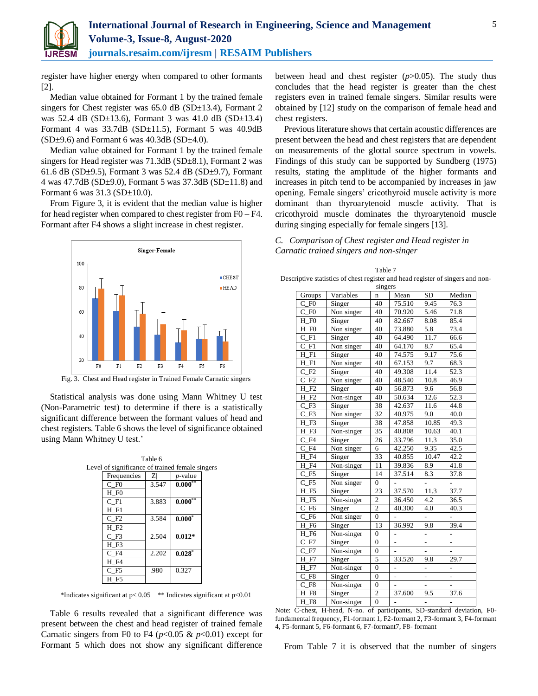

register have higher energy when compared to other formants [2].

Median value obtained for Formant 1 by the trained female singers for Chest register was  $65.0$  dB (SD $\pm$ 13.4), Formant 2 was 52.4 dB (SD±13.6), Formant 3 was 41.0 dB (SD±13.4) Formant 4 was 33.7dB (SD±11.5), Formant 5 was 40.9dB  $(SD\pm9.6)$  and Formant 6 was 40.3dB  $(SD\pm4.0)$ .

Median value obtained for Formant 1 by the trained female singers for Head register was 71.3dB (SD $\pm$ 8.1), Formant 2 was 61.6 dB (SD $\pm$ 9.5), Formant 3 was 52.4 dB (SD $\pm$ 9.7), Formant 4 was 47.7dB (SD±9.0), Formant 5 was 37.3dB (SD±11.8) and Formant 6 was 31.3 (SD±10.0).

From Figure 3, it is evident that the median value is higher for head register when compared to chest register from F0 – F4. Formant after F4 shows a slight increase in chest register.



Fig. 3. Chest and Head register in Trained Female Carnatic singers

Statistical analysis was done using Mann Whitney U test (Non-Parametric test) to determine if there is a statistically significant difference between the formant values of head and chest registers. Table 6 shows the level of significance obtained using Mann Whitney U test.'

|                                                 | Table 6                      |                 |  |
|-------------------------------------------------|------------------------------|-----------------|--|
| Level of significance of trained female singers |                              |                 |  |
| Frequencies                                     | $\left  \mathcal{Z} \right $ | <i>p</i> -value |  |
| $C$ F <sub>0</sub>                              | 3.547                        | $0.000**$       |  |
| H FO                                            |                              |                 |  |
| C F1                                            | 3.883                        | $0.000**$       |  |
| $H$ $F1$                                        |                              |                 |  |
| $C$ F2                                          | 3.584                        | $0.000*$        |  |
| H F2                                            |                              |                 |  |
| C F3                                            | 2.504                        | $0.012*$        |  |
| H F3                                            |                              |                 |  |
| C F4                                            | 2.202                        | $0.028*$        |  |
| H F4                                            |                              |                 |  |
| C F5                                            | .980                         | 0.327           |  |
| H F5                                            |                              |                 |  |

\*Indicates significant at  $p < 0.05$  \*\* Indicates significant at  $p < 0.01$ 

Table 6 results revealed that a significant difference was present between the chest and head register of trained female Carnatic singers from F0 to F4 ( $p<0.05 \& p<0.01$ ) except for Formant 5 which does not show any significant difference

between head and chest register (*p*>0.05). The study thus concludes that the head register is greater than the chest registers even in trained female singers. Similar results were obtained by [12] study on the comparison of female head and chest registers.

Previous literature shows that certain acoustic differences are present between the head and chest registers that are dependent on measurements of the glottal source spectrum in vowels. Findings of this study can be supported by Sundberg (1975) results, stating the amplitude of the higher formants and increases in pitch tend to be accompanied by increases in jaw opening. Female singers' cricothyroid muscle activity is more dominant than thyroarytenoid muscle activity. That is cricothyroid muscle dominates the thyroarytenoid muscle during singing especially for female singers [13].

| C. Comparison of Chest register and Head register in |
|------------------------------------------------------|
| Carnatic trained singers and non-singer              |

| Table 7                                                                        |
|--------------------------------------------------------------------------------|
| Descriptive statistics of chest register and head register of singers and non- |
| 0112000                                                                        |

| singers                          |            |                  |                          |                |                          |
|----------------------------------|------------|------------------|--------------------------|----------------|--------------------------|
| Groups                           | Variables  | $\mathbf n$      | Mean                     | <b>SD</b>      | Median                   |
| $C$ F <sub>0</sub>               | Singer     | 40               | 75.510                   | 9.45           | 76.3                     |
| $C$ F <sub>0</sub>               | Non singer | 40               | 70.920                   | 5.46           | 71.8                     |
| H F <sub>0</sub>                 | Singer     | 40               | 82.667                   | 8.08           | 85.4                     |
| H F <sub>0</sub>                 | Non singer | 40               | 73.880                   | 5.8            | 73.4                     |
| $\mathsf{C}$<br>F1               | Singer     | 40               | 64.490                   | 11.7           | 66.6                     |
| $\mathsf{C}$<br>F1               | Non singer | 40               | 64.170                   | 8.7            | 65.4                     |
| Н<br>F1                          | Singer     | 40               | 74.575                   | 9.17           | 75.6                     |
| F1<br>Н                          | Non singer | 40               | 67.153                   | 9.7            | 68.3                     |
| F2<br>C                          | Singer     | 40               | 49.308                   | 11.4           | 52.3                     |
| F <sub>2</sub><br>C              | Non singer | 40               | 48.540                   | 10.8           | 46.9                     |
| Н<br>F <sub>2</sub>              | Singer     | 40               | 56.873                   | 9.6            | 56.8                     |
| Н<br>F <sub>2</sub>              | Non-singer | 40               | 50.634                   | 12.6           | 52.3                     |
| $\mathsf{C}$<br>F <sub>3</sub>   | Singer     | 38               | 42.637                   | 11.6           | 44.8                     |
| F <sub>3</sub><br>С              | Non singer | 32               | 40.975                   | 9.0            | 40.0                     |
| Н<br>F <sub>3</sub>              | Singer     | 38               | 47.858                   | 10.85          | 49.3                     |
| H F3                             | Non-singer | 35               | 40.808                   | 10.63          | 40.1                     |
| C<br>F <sub>4</sub>              | Singer     | 26               | 33.796                   | 11.3           | 35.0                     |
| $C$ F4                           | Non singer | 6                | 42.250                   | 9.35           | 42.5                     |
| Н<br>F <sub>4</sub>              | Singer     | 33               | 40.855                   | 10.47          | 42.2                     |
| F <sub>4</sub><br>Н              | Non-singer | 11               | 39.836                   | 8.9            | 41.8                     |
| $C$ F <sub>5</sub>               | Singer     | 14               | 37.514                   | 8.3            | 37.8                     |
| F <sub>5</sub><br>C              | Non singer | $\overline{0}$   |                          | -              | -                        |
| Н<br>F <sub>5</sub>              | Singer     | 23               | 37.570                   | 11.3           | 37.7                     |
| F <sub>5</sub><br>Н              | Non-singer | $\overline{c}$   | 36.450                   | 4.2            | 36.5                     |
| F <sub>6</sub><br>C              | Singer     | $\overline{2}$   | 40.300                   | 4.0            | 40.3                     |
| $\overline{C}$<br>F <sub>6</sub> | Non singer | $\overline{0}$   |                          | -              |                          |
| Н<br>F <sub>6</sub>              | Singer     | 13               | 36.992                   | 9.8            | 39.4                     |
| F <sub>6</sub><br>Н              | Non-singer | $\overline{0}$   | -                        | -              | -                        |
| $C_F7$                           | Singer     | $\overline{0}$   | -                        | -              |                          |
| $\mathbf{C}$<br>F7               | Non-singer | $\overline{0}$   |                          | -              |                          |
| F7<br>Н                          | Singer     | 5                | 33.520                   | 9.8            | 29.7                     |
| F7<br>Н                          | Non-singer | $\mathbf{0}$     | $\overline{\phantom{0}}$ | $\overline{a}$ | $\overline{\phantom{0}}$ |
| F8<br>C                          | Singer     | $\boldsymbol{0}$ | $\overline{a}$           | $\overline{a}$ |                          |
| F8<br>$\mathsf{C}$               | Non-singer | $\mathbf{0}$     |                          | $\overline{a}$ |                          |
| F8<br>Н                          | Singer     | $\overline{2}$   | 37.600                   | 9.5            | 37.6                     |
| H F8                             | Non-singer | $\theta$         |                          |                |                          |

Note: C-chest, H-head, N-no. of participants, SD-standard deviation, F0 fundamental frequency, F1-formant 1, F2-formant 2, F3-formant 3, F4-formant 4, F5-formant 5, F6-formant 6, F7-formant7, F8-formant

From Table 7 it is observed that the number of singers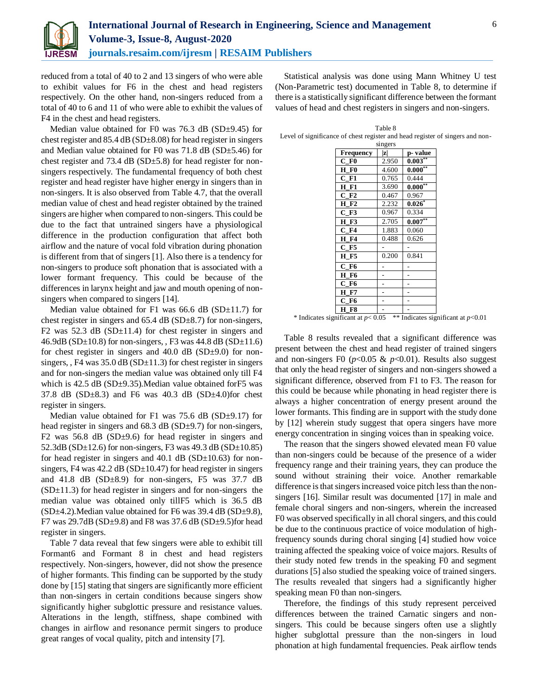

reduced from a total of 40 to 2 and 13 singers of who were able to exhibit values for F6 in the chest and head registers respectively. On the other hand, non-singers reduced from a total of 40 to 6 and 11 of who were able to exhibit the values of F4 in the chest and head registers.

Median value obtained for F0 was 76.3 dB (SD±9.45) for chest register and 85.4 dB (SD±8.08) for head register in singers and Median value obtained for F0 was 71.8 dB (SD±5.46) for chest register and 73.4 dB ( $SD \pm 5.8$ ) for head register for nonsingers respectively. The fundamental frequency of both chest register and head register have higher energy in singers than in non-singers. It is also observed from Table 4.7, that the overall median value of chest and head register obtained by the trained singers are higher when compared to non-singers. This could be due to the fact that untrained singers have a physiological difference in the production configuration that affect both airflow and the nature of vocal fold vibration during phonation is different from that of singers [1]. Also there is a tendency for non-singers to produce soft phonation that is associated with a lower formant frequency. This could be because of the differences in larynx height and jaw and mouth opening of nonsingers when compared to singers [14].

Median value obtained for F1 was 66.6 dB (SD $\pm$ 11.7) for chest register in singers and 65.4 dB (SD±8.7) for non-singers, F2 was  $52.3$  dB (SD $\pm$ 11.4) for chest register in singers and 46.9dB (SD $\pm$ 10.8) for non-singers, , F3 was 44.8 dB (SD $\pm$ 11.6) for chest register in singers and  $40.0$  dB (SD $\pm$ 9.0) for nonsingers,  $F4$  was  $35.0$  dB (SD $\pm$ 11.3) for chest register in singers and for non-singers the median value was obtained only till F4 which is 42.5 dB ( $SD±9.35$ ).Median value obtained for F5 was 37.8 dB ( $SD\pm 8.3$ ) and F6 was 40.3 dB ( $SD\pm 4.0$ )for chest register in singers.

Median value obtained for F1 was 75.6 dB (SD±9.17) for head register in singers and 68.3 dB (SD $\pm$ 9.7) for non-singers, F2 was 56.8 dB (SD $\pm$ 9.6) for head register in singers and 52.3dB (SD $\pm$ 12.6) for non-singers, F3 was 49.3 dB (SD $\pm$ 10.85) for head register in singers and  $40.1$  dB (SD $\pm$ 10.63) for nonsingers, F4 was  $42.2$  dB (SD $\pm$ 10.47) for head register in singers and 41.8 dB  $(SD\pm 8.9)$  for non-singers, F5 was 37.7 dB  $(SD<sub>±</sub>11.3)$  for head register in singers and for non-singers the median value was obtained only tillF5 which is 36.5 dB  $(SD\pm4.2)$ . Median value obtained for F6 was 39.4 dB  $(SD\pm9.8)$ , F7 was  $29.7dB(SD \pm 9.8)$  and F8 was 37.6 dB (SD $\pm 9.5$ ) for head register in singers.

Table 7 data reveal that few singers were able to exhibit till Formant6 and Formant 8 in chest and head registers respectively. Non-singers, however, did not show the presence of higher formants. This finding can be supported by the study done by [15] stating that singers are significantly more efficient than non-singers in certain conditions because singers show significantly higher subglottic pressure and resistance values. Alterations in the length, stiffness, shape combined with changes in airflow and resonance permit singers to produce great ranges of vocal quality, pitch and intensity [7].

Statistical analysis was done using Mann Whitney U test (Non-Parametric test) documented in Table 8, to determine if there is a statistically significant difference between the formant values of head and chest registers in singers and non-singers.

Table 8 Level of significance of chest register and head register of singers and non-

| singers                 |       |            |  |  |
|-------------------------|-------|------------|--|--|
| Frequency               | z     | p-value    |  |  |
| $C$ FO                  | 2.950 | $0.003***$ |  |  |
| H F0                    | 4.600 | $0.000***$ |  |  |
| $C$ F1                  | 0.765 | 0.444      |  |  |
| <b>H</b> F1             | 3.690 | $0.000**$  |  |  |
| $C$ F <sub>2</sub>      | 0.467 | 0.967      |  |  |
| H F2                    | 2.232 | $0.026*$   |  |  |
| $C$ F <sub>3</sub>      | 0.967 | 0.334      |  |  |
| <b>H</b> F3             | 2.705 | $0.007***$ |  |  |
| $C$ F4                  | 1.883 | 0.060      |  |  |
| <b>H</b> F4             | 0.488 | 0.626      |  |  |
| $C$ F5                  |       |            |  |  |
| <b>H</b> F <sub>5</sub> | 0.200 | 0.841      |  |  |
| $C$ F <sub>6</sub>      |       |            |  |  |
| H F6                    |       |            |  |  |
| $C$ F <sub>6</sub>      |       |            |  |  |
| <b>H</b> F7             |       |            |  |  |
| C F6                    |       |            |  |  |
| <b>H F8</b>             |       |            |  |  |

\* Indicates significant at *p*< 0.05 \*\* Indicates significant at *p*<0.01

Table 8 results revealed that a significant difference was present between the chest and head register of trained singers and non-singers F0 ( $p<0.05 \& p<0.01$ ). Results also suggest that only the head register of singers and non-singers showed a significant difference, observed from F1 to F3. The reason for this could be because while phonating in head register there is always a higher concentration of energy present around the lower formants. This finding are in support with the study done by [12] wherein study suggest that opera singers have more energy concentration in singing voices than in speaking voice.

The reason that the singers showed elevated mean F0 value than non-singers could be because of the presence of a wider frequency range and their training years, they can produce the sound without straining their voice. Another remarkable difference is that singers increased voice pitch less than the nonsingers [16]. Similar result was documented [17] in male and female choral singers and non-singers, wherein the increased F0 was observed specifically in all choral singers, and this could be due to the continuous practice of voice modulation of highfrequency sounds during choral singing [4] studied how voice training affected the speaking voice of voice majors. Results of their study noted few trends in the speaking F0 and segment durations [5] also studied the speaking voice of trained singers. The results revealed that singers had a significantly higher speaking mean F0 than non-singers.

Therefore, the findings of this study represent perceived differences between the trained Carnatic singers and nonsingers. This could be because singers often use a slightly higher subglottal pressure than the non-singers in loud phonation at high fundamental frequencies. Peak airflow tends